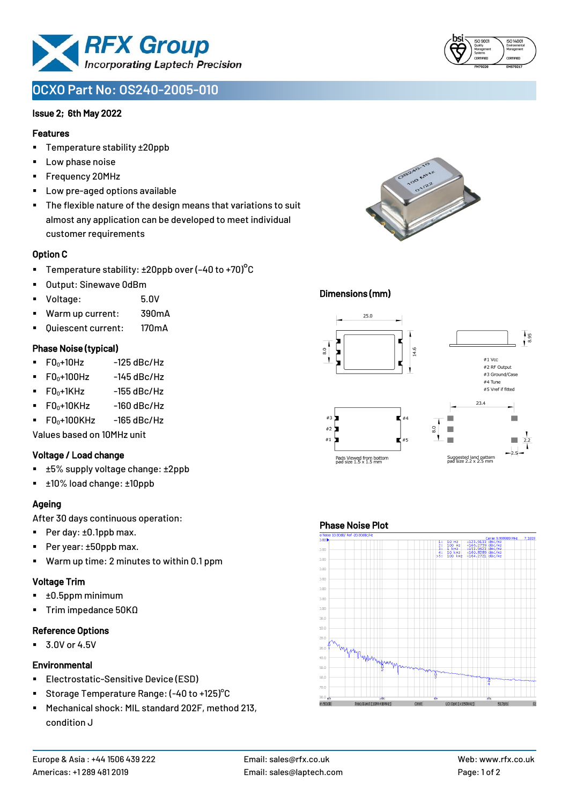

# **OCXO Part No: OS240-2005-010**

#### Issue 2; 6th May 2022

#### Features

- Temperature stability ±20ppb
- Low phase noise
- Frequency 20MHz
- Low pre-aged options available
- The flexible nature of the design means that variations to suit almost any application can be developed to meet individual customer requirements

#### Option C

- **•** Temperature stability:  $\pm 20$ ppb over (-40 to +70)<sup>o</sup>C
- Output: Sinewave 0dBm
- Voltage: 5.0V
- Warm up current: 390mA
- Quiescent current: 170mA

#### Phase Noise (typical)

- $\blacksquare$  F0 $\scriptstyle\bullet$ +10Hz -125 dBc/Hz
- $FO<sub>0</sub>+100Hz$  -145 dBc/Hz
- $F0_0+1$ KHz  $-155$  dBc/Hz
- $F0_0+10K$ Hz  $-160$  dBc/Hz
- $\blacksquare$  F0 $\scriptstyle\bullet$ +100KHz -165 dBc/Hz

Values based on 10MHz unit

#### Voltage / Load change

- ±5% supply voltage change: ±2ppb
- ±10% load change: ±10ppb

## Ageing

After 30 days continuous operation:

- Per day: ±0.1ppb max.
- Per year: ±50ppb max.
- Warm up time: 2 minutes to within 0.1 ppm

#### Voltage Trim

- $\blacksquare$   $\pm 0.5$ ppm minimum
- Trim impedance 50KΩ

#### Reference Options

▪ 3.0V or 4.5V

#### **Environmental**

- **Electrostatic-Sensitive Device (ESD)**
- Storage Temperature Range: (-40 to +125)°C
- Mechanical shock: MIL standard 202F, method 213, condition J



#### Dimensions (mm)



#### Phase Noise Plot